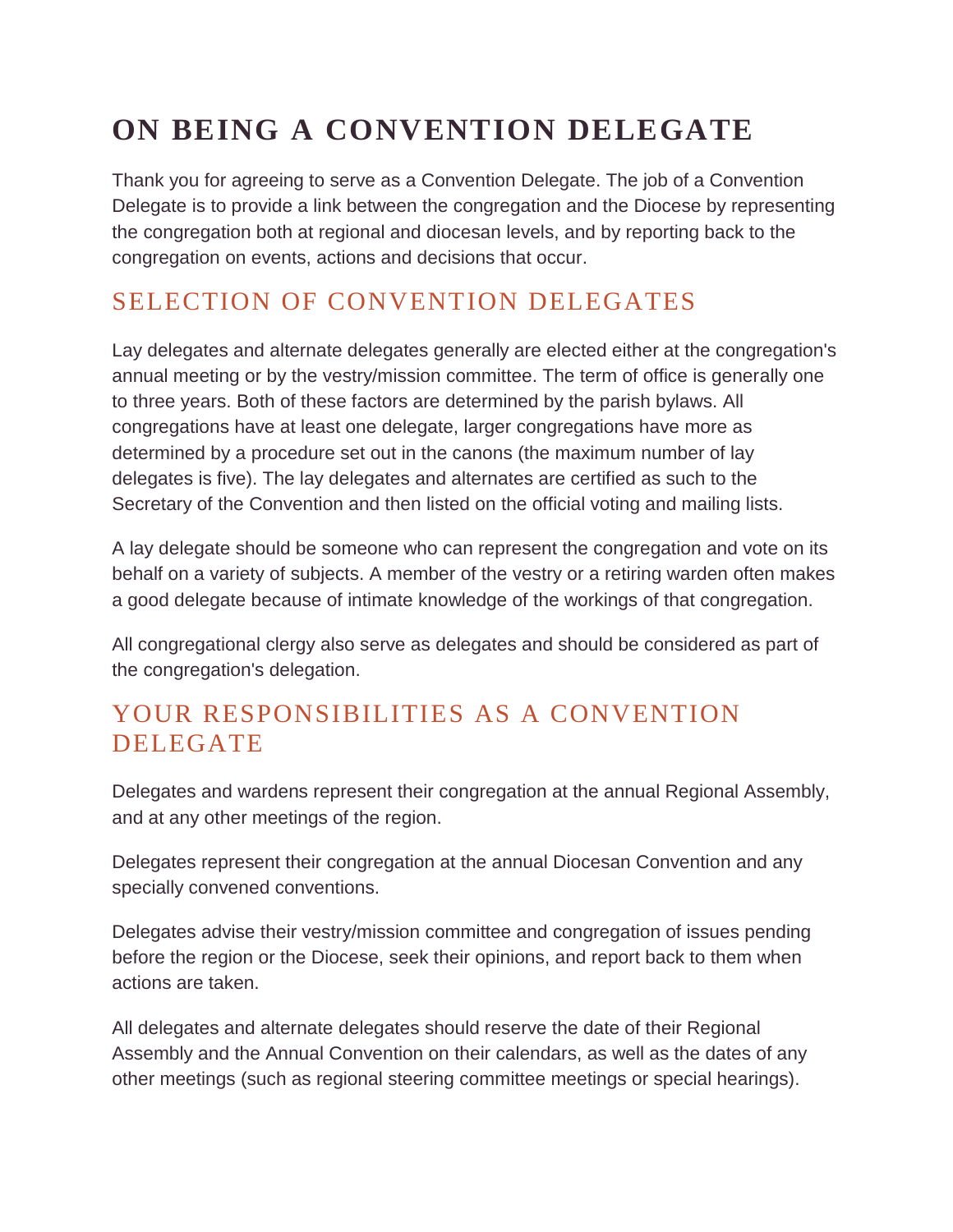# **ON BEING A CONVENTION DELEGATE**

Thank you for agreeing to serve as a Convention Delegate. The job of a Convention Delegate is to provide a link between the congregation and the Diocese by representing the congregation both at regional and diocesan levels, and by reporting back to the congregation on events, actions and decisions that occur.

## SELECTION OF CONVENTION DELEGATES

Lay delegates and alternate delegates generally are elected either at the congregation's annual meeting or by the vestry/mission committee. The term of office is generally one to three years. Both of these factors are determined by the parish bylaws. All congregations have at least one delegate, larger congregations have more as determined by a procedure set out in the canons (the maximum number of lay delegates is five). The lay delegates and alternates are certified as such to the Secretary of the Convention and then listed on the official voting and mailing lists.

A lay delegate should be someone who can represent the congregation and vote on its behalf on a variety of subjects. A member of the vestry or a retiring warden often makes a good delegate because of intimate knowledge of the workings of that congregation.

All congregational clergy also serve as delegates and should be considered as part of the congregation's delegation.

## YOUR RESPONSIBILITIES AS A CONVENTION DELEGATE

Delegates and wardens represent their congregation at the annual Regional Assembly, and at any other meetings of the region.

Delegates represent their congregation at the annual Diocesan Convention and any specially convened conventions.

Delegates advise their vestry/mission committee and congregation of issues pending before the region or the Diocese, seek their opinions, and report back to them when actions are taken.

All delegates and alternate delegates should reserve the date of their Regional Assembly and the Annual Convention on their calendars, as well as the dates of any other meetings (such as regional steering committee meetings or special hearings).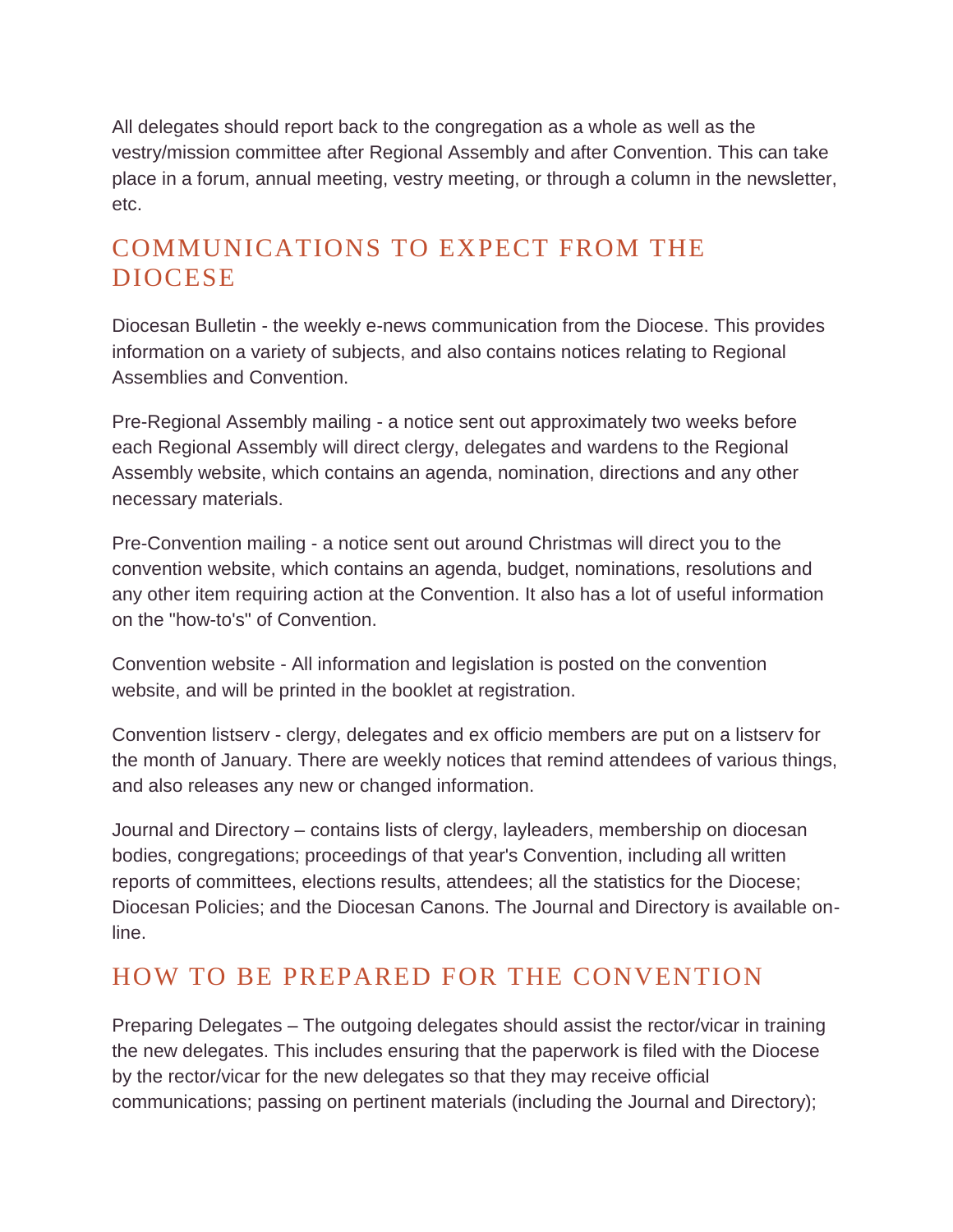All delegates should report back to the congregation as a whole as well as the vestry/mission committee after Regional Assembly and after Convention. This can take place in a forum, annual meeting, vestry meeting, or through a column in the newsletter, etc.

#### COMMUNICATIONS TO EXPECT FROM THE DIOCESE

Diocesan Bulletin - the weekly e-news communication from the Diocese. This provides information on a variety of subjects, and also contains notices relating to Regional Assemblies and Convention.

Pre-Regional Assembly mailing - a notice sent out approximately two weeks before each Regional Assembly will direct clergy, delegates and wardens to the Regional Assembly website, which contains an agenda, nomination, directions and any other necessary materials.

Pre-Convention mailing - a notice sent out around Christmas will direct you to the convention website, which contains an agenda, budget, nominations, resolutions and any other item requiring action at the Convention. It also has a lot of useful information on the "how-to's" of Convention.

Convention website - All information and legislation is posted on the convention website, and will be printed in the booklet at registration.

Convention listserv - clergy, delegates and ex officio members are put on a listserv for the month of January. There are weekly notices that remind attendees of various things, and also releases any new or changed information.

Journal and Directory – contains lists of clergy, layleaders, membership on diocesan bodies, congregations; proceedings of that year's Convention, including all written reports of committees, elections results, attendees; all the statistics for the Diocese; Diocesan Policies; and the Diocesan Canons. The Journal and Directory is available online.

#### HOW TO BE PREPARED FOR THE CONVENTION

Preparing Delegates – The outgoing delegates should assist the rector/vicar in training the new delegates. This includes ensuring that the paperwork is filed with the Diocese by the rector/vicar for the new delegates so that they may receive official communications; passing on pertinent materials (including the Journal and Directory);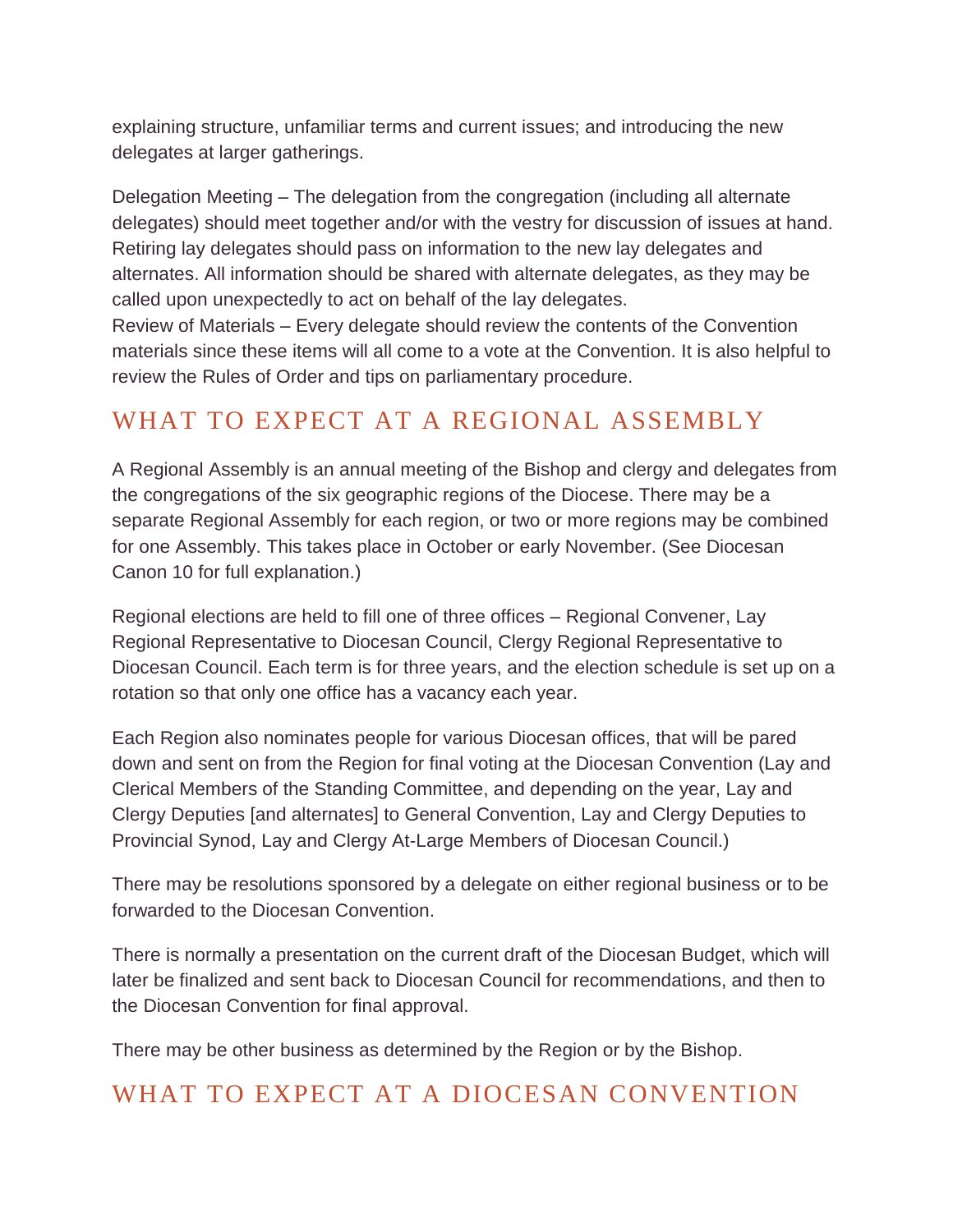explaining structure, unfamiliar terms and current issues; and introducing the new delegates at larger gatherings.

Delegation Meeting – The delegation from the congregation (including all alternate delegates) should meet together and/or with the vestry for discussion of issues at hand. Retiring lay delegates should pass on information to the new lay delegates and alternates. All information should be shared with alternate delegates, as they may be called upon unexpectedly to act on behalf of the lay delegates.

Review of Materials – Every delegate should review the contents of the Convention materials since these items will all come to a vote at the Convention. It is also helpful to review the Rules of Order and tips on parliamentary procedure.

### WHAT TO EXPECT AT A REGIONAL ASSEMBLY

A Regional Assembly is an annual meeting of the Bishop and clergy and delegates from the congregations of the six geographic regions of the Diocese. There may be a separate Regional Assembly for each region, or two or more regions may be combined for one Assembly. This takes place in October or early November. (See Diocesan Canon 10 for full explanation.)

Regional elections are held to fill one of three offices – Regional Convener, Lay Regional Representative to Diocesan Council, Clergy Regional Representative to Diocesan Council. Each term is for three years, and the election schedule is set up on a rotation so that only one office has a vacancy each year.

Each Region also nominates people for various Diocesan offices, that will be pared down and sent on from the Region for final voting at the Diocesan Convention (Lay and Clerical Members of the Standing Committee, and depending on the year, Lay and Clergy Deputies [and alternates] to General Convention, Lay and Clergy Deputies to Provincial Synod, Lay and Clergy At-Large Members of Diocesan Council.)

There may be resolutions sponsored by a delegate on either regional business or to be forwarded to the Diocesan Convention.

There is normally a presentation on the current draft of the Diocesan Budget, which will later be finalized and sent back to Diocesan Council for recommendations, and then to the Diocesan Convention for final approval.

There may be other business as determined by the Region or by the Bishop.

#### WHAT TO EXPECT AT A DIOCESAN CONVENTION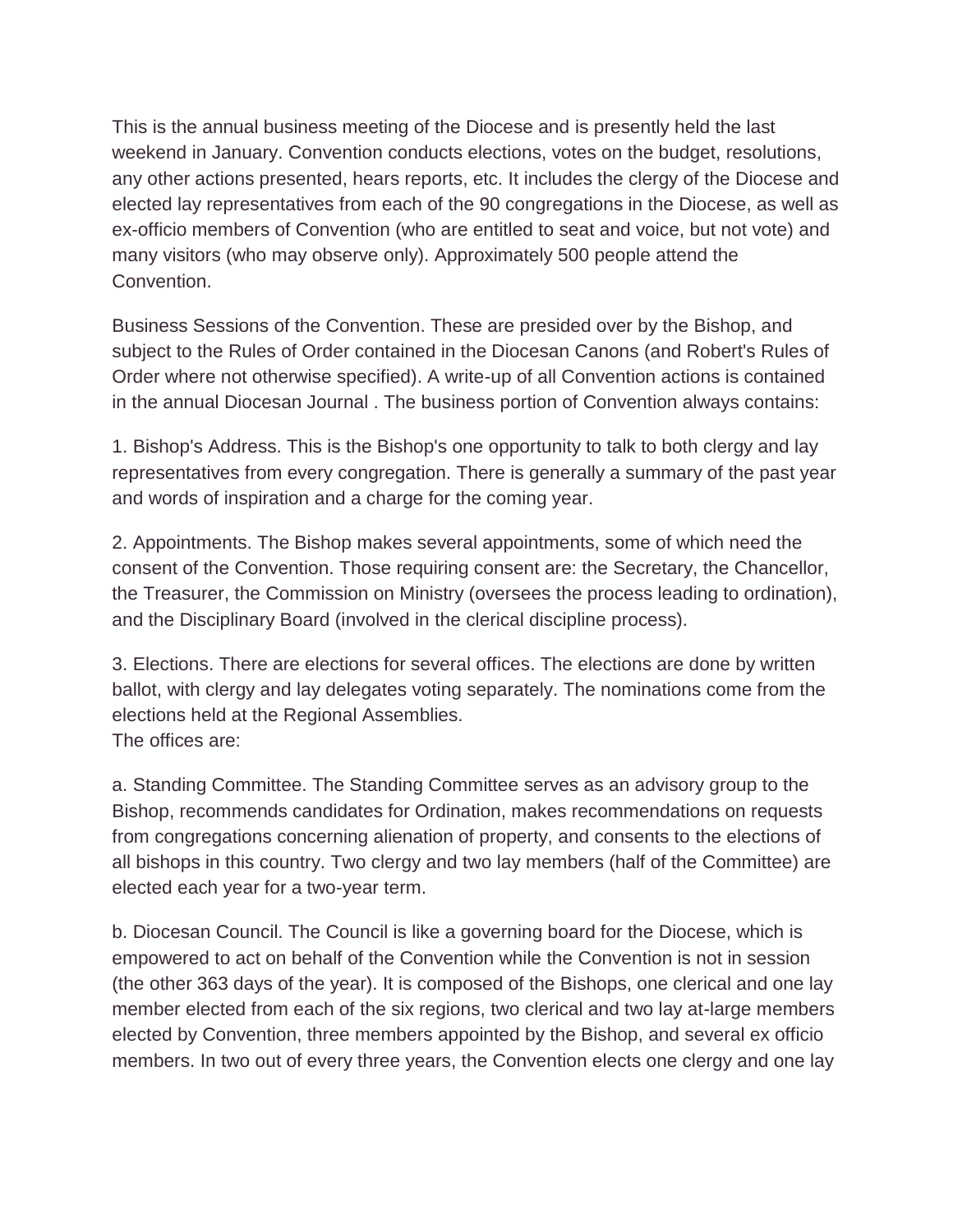This is the annual business meeting of the Diocese and is presently held the last weekend in January. Convention conducts elections, votes on the budget, resolutions, any other actions presented, hears reports, etc. It includes the clergy of the Diocese and elected lay representatives from each of the 90 congregations in the Diocese, as well as ex-officio members of Convention (who are entitled to seat and voice, but not vote) and many visitors (who may observe only). Approximately 500 people attend the Convention.

Business Sessions of the Convention. These are presided over by the Bishop, and subject to the Rules of Order contained in the Diocesan Canons (and Robert's Rules of Order where not otherwise specified). A write-up of all Convention actions is contained in the annual Diocesan Journal . The business portion of Convention always contains:

1. Bishop's Address. This is the Bishop's one opportunity to talk to both clergy and lay representatives from every congregation. There is generally a summary of the past year and words of inspiration and a charge for the coming year.

2. Appointments. The Bishop makes several appointments, some of which need the consent of the Convention. Those requiring consent are: the Secretary, the Chancellor, the Treasurer, the Commission on Ministry (oversees the process leading to ordination), and the Disciplinary Board (involved in the clerical discipline process).

3. Elections. There are elections for several offices. The elections are done by written ballot, with clergy and lay delegates voting separately. The nominations come from the elections held at the Regional Assemblies. The offices are:

a. Standing Committee. The Standing Committee serves as an advisory group to the Bishop, recommends candidates for Ordination, makes recommendations on requests from congregations concerning alienation of property, and consents to the elections of all bishops in this country. Two clergy and two lay members (half of the Committee) are elected each year for a two-year term.

b. Diocesan Council. The Council is like a governing board for the Diocese, which is empowered to act on behalf of the Convention while the Convention is not in session (the other 363 days of the year). It is composed of the Bishops, one clerical and one lay member elected from each of the six regions, two clerical and two lay at-large members elected by Convention, three members appointed by the Bishop, and several ex officio members. In two out of every three years, the Convention elects one clergy and one lay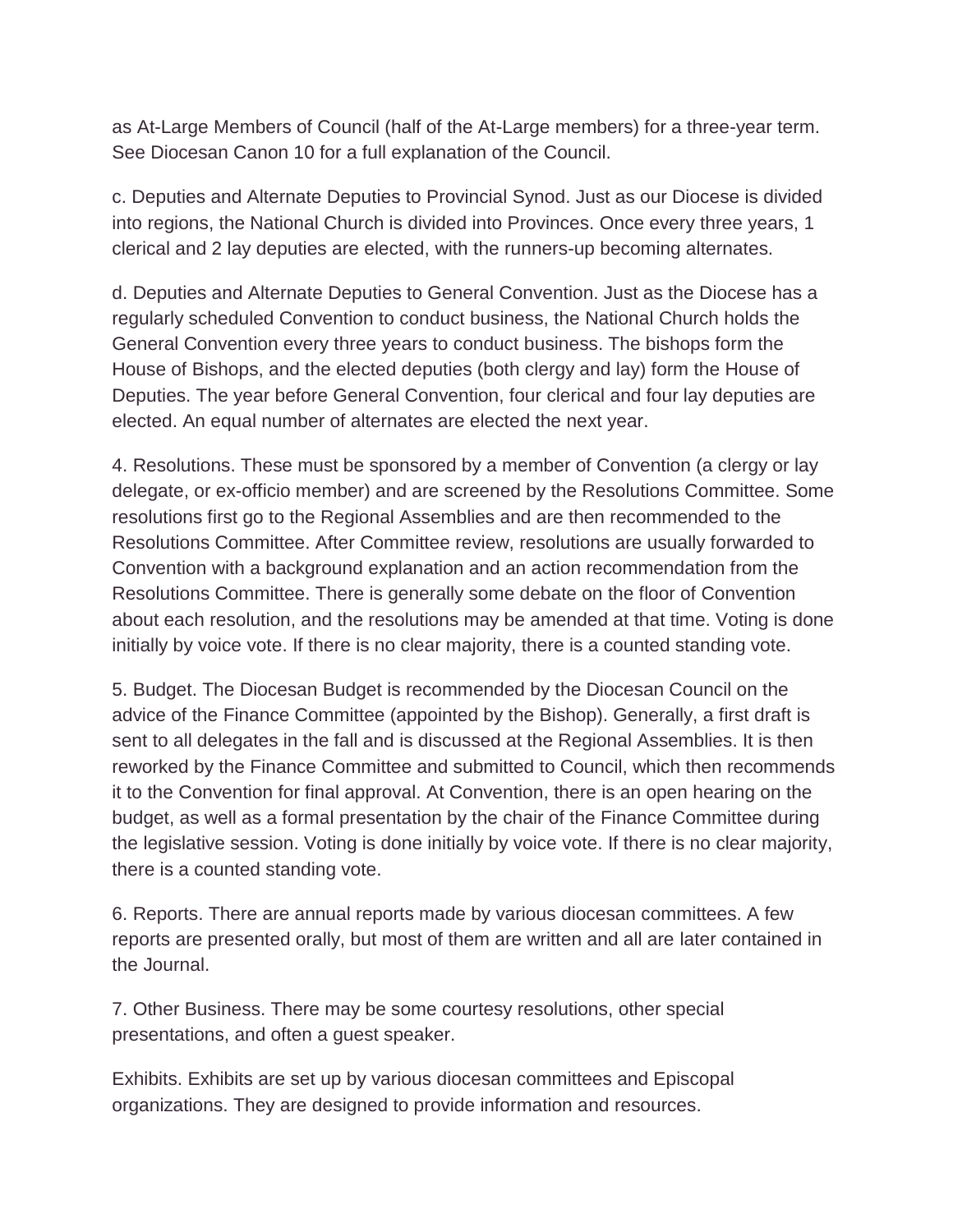as At-Large Members of Council (half of the At-Large members) for a three-year term. See Diocesan Canon 10 for a full explanation of the Council.

c. Deputies and Alternate Deputies to Provincial Synod. Just as our Diocese is divided into regions, the National Church is divided into Provinces. Once every three years, 1 clerical and 2 lay deputies are elected, with the runners-up becoming alternates.

d. Deputies and Alternate Deputies to General Convention. Just as the Diocese has a regularly scheduled Convention to conduct business, the National Church holds the General Convention every three years to conduct business. The bishops form the House of Bishops, and the elected deputies (both clergy and lay) form the House of Deputies. The year before General Convention, four clerical and four lay deputies are elected. An equal number of alternates are elected the next year.

4. Resolutions. These must be sponsored by a member of Convention (a clergy or lay delegate, or ex-officio member) and are screened by the Resolutions Committee. Some resolutions first go to the Regional Assemblies and are then recommended to the Resolutions Committee. After Committee review, resolutions are usually forwarded to Convention with a background explanation and an action recommendation from the Resolutions Committee. There is generally some debate on the floor of Convention about each resolution, and the resolutions may be amended at that time. Voting is done initially by voice vote. If there is no clear majority, there is a counted standing vote.

5. Budget. The Diocesan Budget is recommended by the Diocesan Council on the advice of the Finance Committee (appointed by the Bishop). Generally, a first draft is sent to all delegates in the fall and is discussed at the Regional Assemblies. It is then reworked by the Finance Committee and submitted to Council, which then recommends it to the Convention for final approval. At Convention, there is an open hearing on the budget, as well as a formal presentation by the chair of the Finance Committee during the legislative session. Voting is done initially by voice vote. If there is no clear majority, there is a counted standing vote.

6. Reports. There are annual reports made by various diocesan committees. A few reports are presented orally, but most of them are written and all are later contained in the Journal.

7. Other Business. There may be some courtesy resolutions, other special presentations, and often a guest speaker.

Exhibits. Exhibits are set up by various diocesan committees and Episcopal organizations. They are designed to provide information and resources.